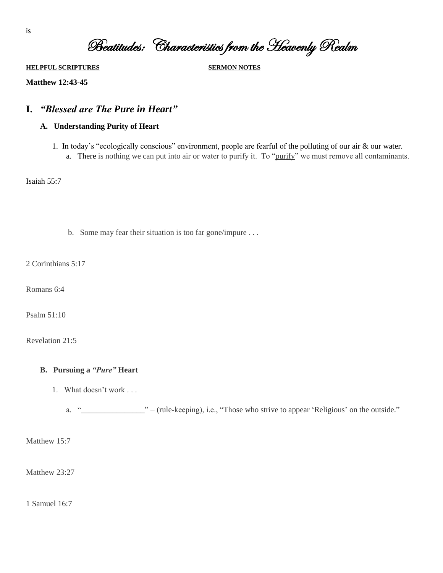Beatitudes: Characteristics from the Heavenly Realm

**HELPFUL SCRIPTURES SERMON NOTES**

**Matthew 12:43-45**

# **I.** *"Blessed are The Pure in Heart"*

### **A. Understanding Purity of Heart**

1. In today's "ecologically conscious" environment, people are fearful of the polluting of our air & our water. a. There is nothing we can put into air or water to purify it. To "purify" we must remove all contaminants.

Isaiah 55:7

b. Some may fear their situation is too far gone/impure . . .

2 Corinthians 5:17

Romans 6:4

Psalm 51:10

Revelation 21:5

#### **B. Pursuing a** *"Pure"* **Heart**

1. What doesn't work . . .

a. "\_\_\_\_\_\_\_\_\_\_\_\_\_\_\_\_" = (rule-keeping), i.e., "Those who strive to appear 'Religious' on the outside."

Matthew 15:7

Matthew 23:27

1 Samuel 16:7